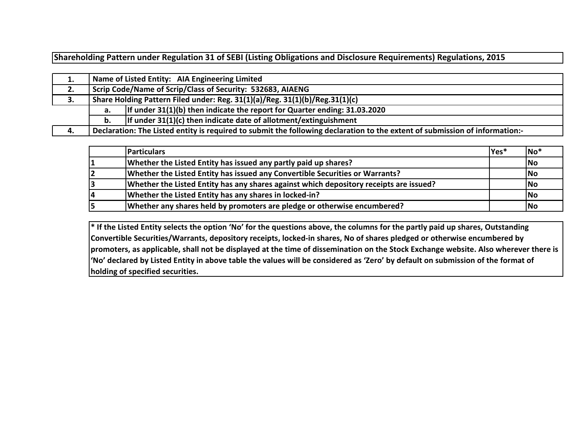**Shareholding Pattern under Regulation 31 of SEBI (Listing Obligations and Disclosure Requirements) Regulations, 2015**

| 1. |    | Name of Listed Entity: AIA Engineering Limited                                                                              |  |  |  |  |  |  |  |  |  |
|----|----|-----------------------------------------------------------------------------------------------------------------------------|--|--|--|--|--|--|--|--|--|
| 2. |    | Scrip Code/Name of Scrip/Class of Security: 532683, AIAENG                                                                  |  |  |  |  |  |  |  |  |  |
| 3. |    | Share Holding Pattern Filed under: Reg. 31(1)(a)/Reg. 31(1)(b)/Reg.31(1)(c)                                                 |  |  |  |  |  |  |  |  |  |
|    | а. | If under $31(1)(b)$ then indicate the report for Quarter ending: 31.03.2020                                                 |  |  |  |  |  |  |  |  |  |
|    | b. | If under $31(1)(c)$ then indicate date of allotment/extinguishment                                                          |  |  |  |  |  |  |  |  |  |
| 4. |    | Declaration: The Listed entity is required to submit the following declaration to the extent of submission of information:- |  |  |  |  |  |  |  |  |  |

| <b>Particulars</b>                                                                     | Yes* | $No*$ |
|----------------------------------------------------------------------------------------|------|-------|
| Whether the Listed Entity has issued any partly paid up shares?                        |      | No    |
| Whether the Listed Entity has issued any Convertible Securities or Warrants?           |      | No    |
| Whether the Listed Entity has any shares against which depository receipts are issued? |      | No    |
| Whether the Listed Entity has any shares in locked-in?                                 |      | No    |
| Whether any shares held by promoters are pledge or otherwise encumbered?               |      | lNo   |

**\* If the Listed Entity selects the option 'No' for the questions above, the columns for the partly paid up shares, Outstanding Convertible Securities/Warrants, depository receipts, locked-in shares, No of shares pledged or otherwise encumbered by promoters, as applicable, shall not be displayed at the time of dissemination on the Stock Exchange website. Also wherever there is 'No' declared by Listed Entity in above table the values will be considered as 'Zero' by default on submission of the format of holding of specified securities.**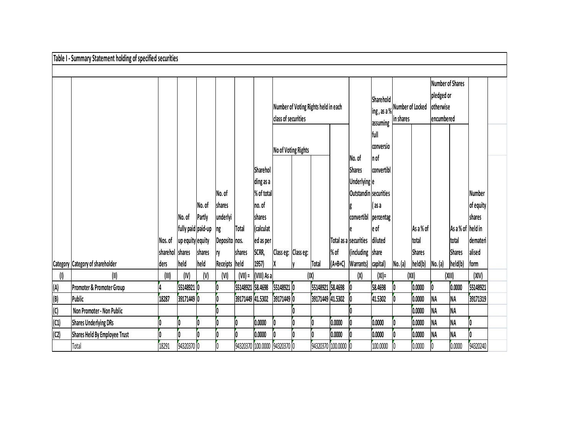|                   | Table I - Summary Statement holding of specified securities |                 |                    |        |               |                                 |             |                                      |                     |                     |           |                              |            |                              |           |                         |                   |               |  |
|-------------------|-------------------------------------------------------------|-----------------|--------------------|--------|---------------|---------------------------------|-------------|--------------------------------------|---------------------|---------------------|-----------|------------------------------|------------|------------------------------|-----------|-------------------------|-------------------|---------------|--|
|                   |                                                             |                 |                    |        |               |                                 |             |                                      |                     |                     |           |                              |            |                              |           |                         |                   |               |  |
|                   |                                                             |                 |                    |        |               |                                 |             |                                      |                     |                     |           |                              |            |                              |           | <b>Number of Shares</b> |                   |               |  |
|                   |                                                             |                 |                    |        |               |                                 |             |                                      |                     |                     |           |                              | Sharehold  | ing, as a % Number of Locked |           | pledged or              |                   |               |  |
|                   |                                                             |                 |                    |        |               |                                 |             | Number of Voting Rights held in each |                     |                     |           |                              |            |                              |           | otherwise               |                   |               |  |
|                   |                                                             |                 |                    |        |               |                                 |             | class of securities                  |                     |                     |           |                              | assuming   | in shares                    |           | encumbered              |                   |               |  |
|                   |                                                             |                 |                    |        |               |                                 |             |                                      |                     |                     |           | full                         |            |                              |           |                         |                   |               |  |
|                   |                                                             |                 |                    |        |               |                                 |             | conversio                            |                     |                     |           |                              |            |                              |           |                         |                   |               |  |
|                   |                                                             |                 |                    |        |               |                                 |             |                                      | No of Voting Rights |                     |           | No. of                       | In of      |                              |           |                         |                   |               |  |
|                   |                                                             |                 |                    |        |               |                                 | Sharehol    |                                      |                     |                     |           | <b>Shares</b>                | convertibl |                              |           |                         |                   |               |  |
|                   |                                                             |                 |                    |        |               |                                 | ding as a   |                                      |                     |                     |           | <b>Underlying</b> e          |            |                              |           |                         |                   |               |  |
|                   |                                                             |                 |                    |        | No. of        |                                 | % of total  |                                      |                     |                     |           | <b>Outstandin securities</b> |            |                              |           |                         |                   | <b>Number</b> |  |
|                   |                                                             |                 |                    | No. of | shares        |                                 | no. of      |                                      |                     |                     |           |                              | (as a      |                              |           |                         |                   | of equity     |  |
|                   |                                                             |                 | No. of             | Partly | underlyi      |                                 | shares      |                                      |                     |                     |           | convertibl                   | percentag  |                              |           |                         |                   | shares        |  |
|                   |                                                             |                 | fully paid paid-up |        | ng            | <b>Total</b>                    | (calculat   |                                      |                     |                     |           |                              | le of      |                              | As a % of |                         | As a % of held in |               |  |
|                   |                                                             | Nos. of         | up equity equity   |        | Deposito nos. |                                 | ed as per   |                                      |                     |                     |           | Total as a securities        | diluted    |                              | total     |                         | total             | demateri      |  |
|                   |                                                             | sharehol shares |                    | shares | IŊ            | shares                          | SCRR,       | Class eg: Class eg:                  |                     |                     | % of      | (including share             |            |                              | Shares    |                         | <b>Shares</b>     | alised        |  |
|                   | Category Category of shareholder                            | ders            | held               | held   | Receipts held |                                 | 1957)       | X                                    |                     | Total               | $(A+B+C)$ | Warrants) capital)           |            | No. (a)                      | held(b)   | No. (a)                 | held(b)           | form          |  |
| (I)               | (II)                                                        | (III)           | (IV)               | (V)    | (VI)          | $(VII) =$                       | (VIII) As a |                                      | (IX)                |                     |           | $(\mathsf{X})$               | $(XI) =$   | (XII)                        |           |                         | (XIII)            | (XIV)         |  |
| (A)               | Promoter & Promoter Group                                   |                 | 55148921 0         |        |               | 55148921 58.4698                |             | 55148921 0                           |                     | 55148921 58.4698    |           | 10                           | 58.4698    |                              | 0.0000    | Ī0                      | 0.0000            | 55148921      |  |
| $\frac{(B)}{(C)}$ | Public                                                      | 18287           | 39171449 0         |        |               | 39171449 41.5302                |             | 39171449 0                           |                     | 39171449 41.5302    |           |                              | 41.5302    |                              | 0.0000    | NA                      | <b>NA</b>         | 39171319      |  |
|                   | Non Promoter - Non Public                                   |                 |                    |        |               |                                 |             |                                      |                     |                     |           |                              |            |                              | 0.0000    | NA                      | <b>NA</b>         |               |  |
| (C1)              | <b>Shares Underlying DRs</b>                                |                 | 0                  |        |               | IO                              | 0.0000      |                                      |                     | 0                   | 0.0000    |                              | 0.0000     |                              | 0.0000    | NA                      | NA                |               |  |
| (C2)              | Shares Held By Employee Trust                               |                 | O                  |        |               | IO.                             | 0.0000      |                                      |                     |                     | 0.0000    |                              | 0.0000     |                              | 0.0000    | NA                      | <b>NA</b>         |               |  |
|                   | Total                                                       | 18291           | 94320370 0         |        |               | [94320370 [100.0000 [94320370 0 |             |                                      |                     | 94320370 100.0000 0 |           |                              | 100.0000   |                              | 0.0000    |                         | 0.0000            | 94320240      |  |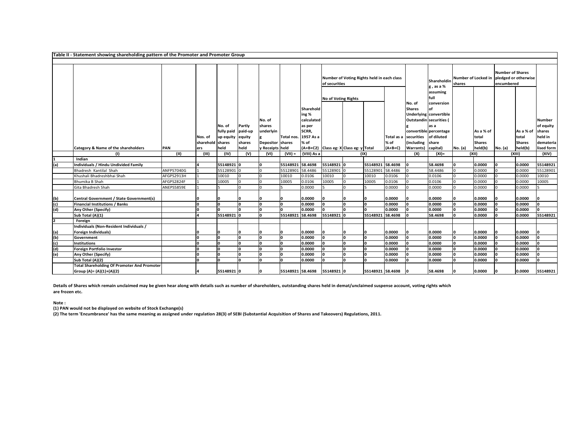**Table II - Statement showing shareholding pattern of the Promoter and Promoter Group**

|     |                                                                                |            |                             | No. of<br>fully paid paid-up<br>up equity equity<br>shares<br>held |                          | No. of<br>shares<br>underlyin<br>Depositor shares<br>y Receipts held |                  |                                                                          | Number of Voting Rights held in each class<br>of securities          |                  |                   |                                                                                                        | Shareholdin<br>g, as a %<br>assuming<br>full<br>conversion<br>of<br>Underlying convertible<br>as a<br>convertible percentage<br>of diluted<br>share<br>capital) | Number of Locked in<br>shares |                                                | <b>Number of Shares</b><br>pledged or otherwise<br>encumbered |                                                 |                                                                            |
|-----|--------------------------------------------------------------------------------|------------|-----------------------------|--------------------------------------------------------------------|--------------------------|----------------------------------------------------------------------|------------------|--------------------------------------------------------------------------|----------------------------------------------------------------------|------------------|-------------------|--------------------------------------------------------------------------------------------------------|-----------------------------------------------------------------------------------------------------------------------------------------------------------------|-------------------------------|------------------------------------------------|---------------------------------------------------------------|-------------------------------------------------|----------------------------------------------------------------------------|
|     | Category & Name of the shareholders                                            | <b>PAN</b> | Nos. of<br>sharehold<br>ers |                                                                    | Partly<br>shares<br>held |                                                                      | Total nos.       | Sharehold<br>ing %<br>calculated<br>as per<br>SCRR,<br>1957 As a<br>% of | <b>No of Voting Rights</b><br>(A+B+C2) Class eg: X Class eg: y Total |                  | % of<br>$(A+B+C)$ | No. of<br><b>Shares</b><br>Outstandin securities (<br>Total as a securities<br>(including<br>Warrants) |                                                                                                                                                                 | No. (a)                       | As a % of<br>total<br><b>Shares</b><br>held(b) | No. (a)                                                       | As a % of<br>Itotal<br><b>Shares</b><br>held(b) | <b>Number</b><br>of equity<br>shares<br>held in<br>demateria<br>lised form |
|     | (1)                                                                            | (II)       | (III)                       | (IV)                                                               | (V)                      | (VI)                                                                 | $(VII) =$        | (VIII) As a                                                              |                                                                      | (IX)             |                   | (X)                                                                                                    | $(XI) =$                                                                                                                                                        |                               | (XII)                                          |                                                               | (XIII)                                          | (XIV)                                                                      |
|     | Indian                                                                         |            |                             |                                                                    |                          |                                                                      |                  |                                                                          |                                                                      |                  |                   |                                                                                                        |                                                                                                                                                                 |                               |                                                |                                                               |                                                 |                                                                            |
| (a) | Individuals / Hindu Undivided Family                                           |            |                             | 55148921 0                                                         |                          | n                                                                    | 55148921         | 58.4698                                                                  | 55148921                                                             | 55148921 58.4698 |                   |                                                                                                        | 58.4698                                                                                                                                                         |                               | 0.0000                                         | I٥                                                            | 0.0000                                          | 55148921                                                                   |
|     | Bhadresh Kantilal Shah                                                         | ANFPS7040G |                             | 55128901 0                                                         |                          |                                                                      | 55128901         | 58.4486                                                                  | 55128901                                                             | 55128901         | 58.4486           |                                                                                                        | 58.4486                                                                                                                                                         |                               | 0.0000                                         | In                                                            | 0.0000                                          | 55128901                                                                   |
|     | Khushali Bhadreshbhai Shah                                                     | AFGPS2913H |                             | 10010                                                              | $\Omega$                 |                                                                      | 10010            | 0.0106                                                                   | 10010                                                                | 10010            | 0.0106            |                                                                                                        | 0.0106                                                                                                                                                          |                               | 0.0000                                         | In.                                                           | 0.0000                                          | 10010                                                                      |
|     | Bhumika B Shah                                                                 | AFGPS2824F |                             | 10005                                                              |                          |                                                                      | 10005            | 0.0106                                                                   | 10005                                                                | 10005            | 0.0106            |                                                                                                        | 0.0106                                                                                                                                                          |                               | 0.0000                                         |                                                               | 0.0000                                          | 10005                                                                      |
|     | Gita Bhadresh Shah                                                             | ANEPS5859E |                             |                                                                    |                          |                                                                      |                  | 0.0000                                                                   |                                                                      |                  | 0.0000            |                                                                                                        | 0.0000                                                                                                                                                          |                               | 0.0000                                         |                                                               | 0.0000                                          |                                                                            |
| (b) | Central Government / State Government(s)                                       |            |                             | ı٥                                                                 |                          | n                                                                    |                  | 0.0000                                                                   | I٥                                                                   | n                | 0.0000            |                                                                                                        | 0.0000                                                                                                                                                          |                               | 0.0000                                         |                                                               | 0.0000                                          | n                                                                          |
| (c) | Financial Institutions / Banks                                                 |            |                             | ١o                                                                 | I۵                       | ١o                                                                   |                  | 0.0000                                                                   | I٥                                                                   | I٥               | 0.0000            |                                                                                                        | 0.0000                                                                                                                                                          | n                             | 0.0000                                         | lo.                                                           | 0.0000                                          | Ιo                                                                         |
| (d) | Any Other (Specify)                                                            |            |                             |                                                                    | n                        | ١o                                                                   |                  | 0.0000                                                                   |                                                                      | O                | 0.0000            |                                                                                                        | 0.0000                                                                                                                                                          |                               | 0.0000                                         |                                                               | 0.0000                                          | O                                                                          |
|     | Sub Total (A)(1)                                                               |            |                             | 55148921 0                                                         |                          | n                                                                    | 55148921         | 58.4698                                                                  | 55148921                                                             | 55148921 58.4698 |                   |                                                                                                        | 58.4698                                                                                                                                                         |                               | 0.0000                                         |                                                               | 0.0000                                          | 55148921                                                                   |
| 2   | Foreign                                                                        |            |                             |                                                                    |                          |                                                                      |                  |                                                                          |                                                                      |                  |                   |                                                                                                        |                                                                                                                                                                 |                               |                                                |                                                               |                                                 |                                                                            |
|     | Individuals (Non-Resident Individuals /                                        |            |                             |                                                                    |                          |                                                                      |                  |                                                                          |                                                                      |                  |                   |                                                                                                        |                                                                                                                                                                 |                               |                                                |                                                               |                                                 |                                                                            |
| (a) | Foreign Individuals)                                                           |            |                             |                                                                    |                          |                                                                      |                  | 0.0000                                                                   | IO                                                                   |                  | 0.0000            |                                                                                                        | 0.0000                                                                                                                                                          |                               | 0.0000                                         |                                                               | 0.0000                                          |                                                                            |
| (b) | Government                                                                     |            |                             | I٥                                                                 |                          | n                                                                    |                  | 0.0000                                                                   | lo.                                                                  | ln.              | 0.0000            |                                                                                                        | 0.0000                                                                                                                                                          |                               | 0.0000                                         | l0                                                            | 0.0000                                          | O                                                                          |
| (c) | <b>Institutions</b>                                                            |            |                             |                                                                    | ın                       | n                                                                    |                  | 0.0000                                                                   | lo.                                                                  | ln.              | 0.0000            |                                                                                                        | 0.0000                                                                                                                                                          | ı.                            | 0.0000                                         | In                                                            | 0.0000                                          | O                                                                          |
| (d) | Foreign Portfolio Investor                                                     |            |                             |                                                                    | I٥                       | n                                                                    |                  | 0.0000                                                                   | I∩                                                                   | ln.              | 0.0000            | n                                                                                                      | 0.0000                                                                                                                                                          | n                             | 0.0000                                         | In                                                            | 0.0000                                          | n                                                                          |
| (e) | Any Other (Specify)                                                            |            |                             |                                                                    | ın                       | n                                                                    |                  | 0.0000                                                                   | I٥                                                                   | n                | 0.0000            | I٥                                                                                                     | 0.0000                                                                                                                                                          |                               | 0.0000                                         |                                                               | 0.0000                                          |                                                                            |
|     | Sub Total (A)(2)                                                               |            |                             |                                                                    |                          | n                                                                    |                  | 0.0000                                                                   | In                                                                   | n.               | 0.0000            |                                                                                                        | 0.0000                                                                                                                                                          |                               | 0.0000                                         |                                                               | 0.0000                                          | ln.                                                                        |
|     | <b>Total Shareholding Of Promoter And Promoter</b><br>Group (A)= (A)(1)+(A)(2) |            |                             | 55148921 0                                                         |                          | O                                                                    | 55148921 58.4698 |                                                                          | 55148921 0                                                           | 55148921 58.4698 |                   |                                                                                                        | 58.4698                                                                                                                                                         |                               | 0.0000                                         |                                                               | 0.0000                                          | 55148921                                                                   |

٦

**Details of Shares which remain unclaimed may be given hear along with details such as number of shareholders, outstanding shares held in demat/unclaimed suspense account, voting rights which are frozen etc.**

**Note :**

**(1) PAN would not be displayed on website of Stock Exchange(s)** 

**(2) The term 'Encumbrance' has the same meaning as assigned under regulation 28(3) of SEBI (Substantial Acquisition of Shares and Takeovers) Regulations, 2011.**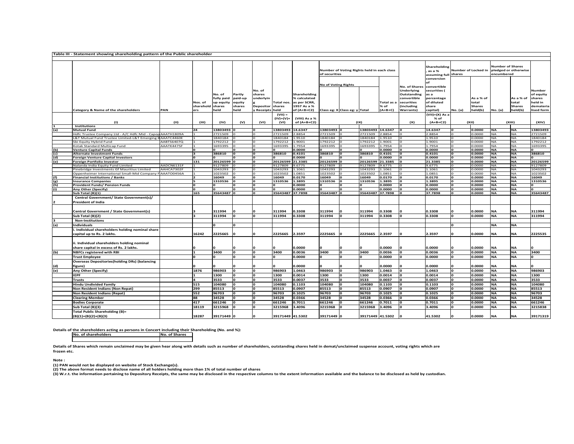|     | Table III - Statement showing shareholding pattern of the Public shareholder |            |           |               |         |                         |                  |                     |                               |                                            |                  |                 |                   |                |         |                     |                         |               |            |
|-----|------------------------------------------------------------------------------|------------|-----------|---------------|---------|-------------------------|------------------|---------------------|-------------------------------|--------------------------------------------|------------------|-----------------|-------------------|----------------|---------|---------------------|-------------------------|---------------|------------|
|     |                                                                              |            |           |               |         |                         |                  |                     |                               |                                            |                  |                 |                   |                |         |                     |                         |               |            |
|     |                                                                              |            |           |               |         |                         |                  |                     |                               |                                            |                  |                 |                   | Shareholding   |         |                     | <b>Number of Shares</b> |               |            |
|     |                                                                              |            |           |               |         |                         |                  |                     |                               | Number of Voting Rights held in each class |                  |                 |                   | as a %         |         | Number of Locked in | pledged or otherwise    |               |            |
|     |                                                                              |            |           |               |         |                         |                  |                     | of securities                 |                                            |                  |                 |                   | assuming full  | shares  |                     | encumbered              |               |            |
|     |                                                                              |            |           |               |         |                         |                  |                     |                               |                                            |                  |                 |                   | conversion     |         |                     |                         |               |            |
|     |                                                                              |            |           |               |         |                         |                  |                     |                               |                                            |                  |                 |                   |                |         |                     |                         |               |            |
|     |                                                                              |            |           |               |         |                         |                  |                     | <b>No of Voting Rights</b>    |                                            |                  |                 | No. of Shares     | convertible    |         |                     |                         |               |            |
|     |                                                                              |            |           |               |         | No. of                  |                  |                     |                               |                                            |                  |                 | <b>Underlying</b> | securities (   |         |                     |                         |               | Number     |
|     |                                                                              |            |           | No. of        | Partly  | shares                  |                  | <b>Shareholding</b> |                               |                                            |                  |                 | Outstanding       | as a           |         |                     |                         |               | of equity  |
|     |                                                                              |            |           | fully paid    | paid-up | underlyin               |                  | % calculated        |                               |                                            |                  |                 | convertible       | percentage     |         | As a % of           |                         | As a % of     | shares     |
|     |                                                                              |            | Nos. of   | up equity     | equity  |                         | Total nos.       | as per SCRR,        |                               |                                            |                  | <b>Total</b> as | securities        | of diluted     |         | total               |                         | total         | held in    |
|     |                                                                              |            | sharehold | <b>shares</b> | shares  | <b>Depositor shares</b> |                  | 1957 As a %         |                               |                                            |                  | $%$ of          | including         | share          |         | <b>Shares</b>       |                         | <b>Shares</b> | demateria  |
|     | <b>Category &amp; Name of the shareholders</b>                               | PAN        | ers       | held          | held    | <b>Receipts held</b>    |                  | of (A+B+C2)         | Class eg: X Class eg: y Total |                                            |                  | $(A+B+C)$       | <b>Warrants</b> ) | capital)       | No. (a) | held(b)             | No. (a)                 | held(b)       | lised form |
|     |                                                                              |            |           |               |         |                         | $(VII) =$        |                     |                               |                                            |                  |                 |                   | (VII)+(X) As a |         |                     |                         |               |            |
|     |                                                                              |            |           |               |         |                         | (IV)+(V)+        | (VIII) As a %       |                               |                                            |                  |                 |                   | % of           |         |                     |                         |               |            |
|     | $\omega$                                                                     | (11)       | (III)     | (IV)          | (v)     | (VI)                    | (VI)             | of $(A+B+C2)$       |                               |                                            | (1)              |                 | (X)               | $(A+B+C2)$     |         | (X  )               |                         | (XIII)        | (XIV)      |
|     | <b>Institutions</b>                                                          |            |           |               |         |                         |                  |                     |                               |                                            |                  |                 |                   |                |         |                     |                         |               |            |
| (a) | Mutual Fund                                                                  |            | 24        | 13803493      |         |                         | 13803493         | 14.6347             | 13803493                      |                                            | 13803493 14.6347 |                 |                   | 14.6347        |         | 0.0000              | ΝA                      | <b>NA</b>     | 13803493   |
|     | Hdfc Trustee Company Ltd - A/C Hdfc Mid - Capop                              | AAATH1809A |           | 2721509       |         |                         | 2721509          | .8854               | 2721509                       |                                            | 2721509          | 1.8854          |                   | 1.8854         |         | 0.0000              | NA                      | <b>NA</b>     | 2721509    |
|     | L&T Mutual Fund Trustee Limited-L&T Emerging BAAATC4460E                     |            |           | 1840184       |         |                         | 1840184          | 1.9510              | 1840184                       |                                            | 1840184          | .9510           |                   | 1.9510         |         | 0.0000              | <b>NA</b>               | <b>NA</b>     | 1840184    |
|     | Sbi Equity Hybrid Fund                                                       | AABTS6407Q |           | 1792212       |         |                         | 1792212          | 1.9001              | 1792212                       |                                            | 1792212          | .9001           |                   | 1.9001         |         | 0.0000              | <b>NA</b>               | <b>NA</b>     | 1792212    |
|     | Kotak Standard Multicap Fund                                                 | AAATK4475F |           | 1693395       |         |                         | 1693395          | 1.7954              | 1693395                       |                                            | 1693395          | L.7954          |                   | 1.7954         |         | 0.0000              | <b>NA</b>               | <b>NA</b>     | 1693395    |
| (b) | <b>Venture Capital Funds</b>                                                 |            |           |               |         |                         |                  | 0.0000              |                               |                                            |                  | 0000.           |                   | 0.0000         |         | 0.0000              | <b>NA</b>               | <b>NA</b>     |            |
| (c) | <b>Alternate Investment Funds</b>                                            |            |           | 386810        |         |                         | 386810           | 0.4101              | 386810                        |                                            | 386810           | 0.4101          |                   | 0.4101         |         | 0.0000              | <b>NA</b>               | <b>NA</b>     | 386810     |
| (d) | <b>Foreign Venture Capital Investors</b>                                     |            |           |               |         |                         | o                | 0.0000              | $\mathbf{o}$                  |                                            |                  | 0.0000          |                   | 0.0000         | o       | 0.0000              | <b>NA</b>               | <b>NA</b>     | o          |
| (e) | <b>Foreign Portfolio Investor</b>                                            |            | 131       | 20126599 0    |         |                         | 20126599         | 21.3385             | 20126599                      |                                            | 20126599         | 21.3385         |                   | 21.3385        | o.      | 0.0000              | <b>NA</b>               | <b>NA</b>     | 20126599   |
|     | Nalanda India Equity Fund Limited                                            | AADCN6131F |           | 9127809       |         |                         | 9127809          | 9.6775              | 9127809                       |                                            | 9127809          | 0.6775          |                   | 9.6775         |         | 0.0000              | <b>NA</b>               | <b>NA</b>     | 9127809    |
|     | Pinebridge Investments Gf Mauritius Limited                                  | AAHCA7302F |           | 1043293       |         |                         | 1043293          | 1.1061              | 1043293                       |                                            | 1043293          | .1061           |                   | .1061          |         | 0.0000              | <b>NA</b>               | <b>NA</b>     | 1043293    |
|     | Oppenheimer International Small-Mid Company F                                | AAATO0456A |           | 1023502       |         |                         | 1023502          | 1.0851              | 1023502                       |                                            | 1023502          | 1.0851          |                   | 1.0851         |         | 0.0000              | NA                      | <b>NA</b>     | 1023502    |
| (f) | <b>Financial Institutions / Banks</b>                                        |            |           | 16049         |         |                         | 16049            | 0.0170              | 16049                         |                                            | 16049            | 0.0170          |                   | 0.0170         | o       | 0.0000              | <b>NA</b>               | <b>NA</b>     | 16049      |
| (g) | <b>Insurance Companies</b>                                                   |            |           | 1310536       |         |                         | 1310536          | 1.3895              | 1310536                       |                                            | 1310536          | 1.3895          |                   | 1.3895         | o       | 0.0000              | <b>NA</b>               | <b>NA</b>     | 1310536    |
| (h) | <b>Provident Funds/ Pension Funds</b>                                        |            |           |               |         |                         |                  | 0.0000              |                               |                                            |                  | 0.0000          |                   | 0.0000         | o       | 0.0000              | <b>NA</b>               | <b>NA</b>     |            |
| (i) | Any Other (Specify)                                                          |            |           |               |         | n                       |                  | 0.0000              |                               |                                            |                  | 0.0000          |                   | 0.0000         | o       | 0.0000              | <b>NA</b>               | <b>NA</b>     |            |
|     | Sub Total (B)(1)                                                             |            | 165       | 35643487 0    |         |                         | 35643487         | 37.7898             | 35643487                      |                                            | 35643487 37.7898 |                 |                   | 37.7898        | o       | 0.0000              | <b>NA</b>               | <b>NA</b>     | 35643487   |
|     | Central Government/ State Government(s)/                                     |            |           |               |         |                         |                  |                     |                               |                                            |                  |                 |                   |                |         |                     |                         |               |            |
|     | <b>President of India</b>                                                    |            |           |               |         |                         |                  |                     |                               |                                            |                  |                 |                   |                |         |                     |                         |               |            |
|     |                                                                              |            |           |               |         |                         |                  |                     |                               |                                            |                  |                 |                   |                |         |                     |                         |               |            |
|     | Central Government / State Government(s)                                     |            |           | 311994        |         |                         | 311994           | 0.3308              | 311994                        |                                            | 311994           | 0.3308          |                   | 0.3308         |         | 0.0000              | <b>NA</b>               | <b>NA</b>     | 311994     |
|     | Sub Total (B)(2)                                                             |            |           | 311994        | 'n      |                         | 311994           | 0.3308              | 311994                        |                                            | 311994           | 0.3308          |                   | 0.3308         | O       | 0.0000              | <b>NA</b>               | <b>NA</b>     | 311994     |
|     | <b>Non-Institutions</b>                                                      |            |           |               |         |                         |                  |                     |                               |                                            |                  |                 |                   |                |         |                     |                         |               |            |
|     |                                                                              |            |           |               |         |                         |                  |                     |                               |                                            |                  |                 |                   |                | n       |                     |                         |               |            |
| (a) | Individuals                                                                  |            |           |               |         |                         |                  |                     |                               |                                            |                  |                 |                   |                |         |                     | ΝA                      | NA            |            |
|     | Individual shareholders holding nominal share                                |            |           |               |         |                         |                  |                     |                               |                                            |                  |                 |                   |                |         |                     |                         |               |            |
|     | capital up to Rs. 2 lakhs.                                                   |            | 16242     | 2225665       |         |                         | 2225665          | 2.3597              | 2225665                       |                                            | 2225665 2.3597   |                 |                   | 1.3597         |         | 0.0000              | NA                      | <b>NA</b>     | 2225535    |
|     |                                                                              |            |           |               |         |                         |                  |                     |                               |                                            |                  |                 |                   |                |         |                     |                         |               |            |
|     | ii. Individual shareholders holding nominal                                  |            |           |               |         |                         |                  |                     |                               |                                            |                  |                 |                   |                |         |                     |                         |               |            |
|     | share capital in excess of Rs. 2 lakhs.                                      |            |           |               |         |                         |                  | 0.0000              |                               |                                            |                  | 0.0000          |                   | 0.0000         |         | 0.0000              | <b>NA</b>               | <b>NA</b>     |            |
| (b) | <b>NBFCs registered with RBI</b>                                             |            |           | 3400          | I٥      | lo                      | 3400             | 0.0036              | 3400                          |                                            | 3400             | 0.0036          |                   | 0.0036         | o       | 0.0000              | <b>NA</b>               | <b>NA</b>     | 3400       |
|     | <b>Trust Employee</b>                                                        |            |           |               |         |                         |                  | 0.0000              |                               |                                            |                  | 0.0000          |                   | 0.0000         | n       | 0.0000              | <b>NA</b>               | <b>NA</b>     | n          |
|     |                                                                              |            |           |               |         |                         |                  |                     |                               |                                            |                  |                 |                   |                |         |                     |                         |               |            |
|     | <b>Overseas Depositories (holding DRs) (balancing</b>                        |            |           |               |         |                         |                  |                     |                               |                                            |                  |                 |                   |                |         |                     |                         |               |            |
| (d) | figure)                                                                      |            |           |               |         |                         |                  | 0.0000              |                               |                                            |                  | 0.0000          |                   | 0.0000         |         | 0.0000              | NA                      | <b>NA</b>     |            |
| (e) | Any Other (Specify)                                                          |            | 1876      | 986903        |         |                         | 986903           | L.0463              | 986903                        |                                            | 986903           | 1.0463          |                   | 1.0463         |         | 0.0000              | <b>ΝΑ</b>               | <b>NA</b>     | 986903     |
|     | <b>IEPF</b>                                                                  |            |           | 1300          |         |                         | 1300             | 0.0014              | 1300                          |                                            | 1300             | 0.0014          |                   | 0.0014         |         | 0.0000              | ΝA                      | <b>NA</b>     | 1300       |
|     | <b>Trusts</b>                                                                |            |           | 3533          |         |                         | 3533             | 0.0037              | 3533                          |                                            | 3533             | 0.0037          |                   | 0.0037         |         | 0.0000              | <b>NA</b>               | <b>NA</b>     | 3533       |
|     | <b>Hindu Undivided Family</b>                                                |            | 515       | 104080        | n       | 'n                      | 104080           | 0.1103              | 104080                        |                                            | 104080           | 0.1103          |                   | 0.1103         | n       | 0.0000              | <b>NA</b>               | <b>NA</b>     | 104080     |
|     | Non Resident Indians (Non Repat)                                             |            | 299       | 85513         |         | 'n                      | 85513            | 0.0907              | 85513                         |                                            | 85513            | 0.0907          |                   | 0.0907         | O       | 0.0000              | <b>NA</b>               | <b>NA</b>     | 85513      |
|     | <b>Non Resident Indians (Repat)</b>                                          |            | 552       | 96703         | o       | lo                      | 96703            | 0.1025              | 96703                         |                                            | 96703            | 0.1025          |                   | 0.1025         | 0       | 0.0000              | <b>NA</b>               | <b>NA</b>     | 96703      |
|     |                                                                              |            |           |               |         |                         |                  |                     |                               |                                            |                  |                 |                   |                |         |                     |                         |               |            |
|     | <b>Clearing Member</b>                                                       |            | 88        | 34528         | n       |                         | 34528            | 0.0366              | 34528                         |                                            | 34528            | 0.0366          |                   | 0.0366         | O       | 0.0000              | <b>NA</b>               | <b>NA</b>     | 34528      |
|     | <b>Bodies Corporate</b>                                                      |            | 417       | 661246        |         | 'n                      | 661246           | 0.7011              | 661246                        |                                            | 661246           | 0.7011          |                   | 0.7011         | n       | 0.0000              | <b>NA</b>               | <b>NA</b>     | 661246     |
|     | Sub Total (B)(3)                                                             |            | 18119     | 3215968       |         |                         | 3215968          | 3.4096              | 3215968                       |                                            | 3215968          | 3.4096          |                   | 3.4096         |         | 0.0000              | <b>NA</b>               | <b>NA</b>     | 3215838    |
|     | Total Public Shareholding (B)=                                               |            |           |               |         |                         |                  |                     |                               |                                            |                  |                 |                   |                |         |                     |                         |               |            |
|     | $(B)(1)+(B)(2)+(B)(3)$                                                       |            | 18287     | 39171449 0    |         |                         | 39171449 41.5302 |                     | 39171449 0                    |                                            | 39171449 41.5302 |                 |                   | 41.5302        |         | 0.0000              | <b>NA</b>               | <b>NA</b>     | 39171319   |

**Details of the shareholders acting as persons in Concert including their Shareholding (No. and %):No. of Shares**

**No. of shareholders**

**Details of Shares which remain unclaimed may be given hear along with details such as number of shareholders, outstanding shares held in demat/unclaimed suspense account, voting rights which are frozen etc.**

**Note :**

(1) PAN would not be displayed on website of Stock Exchange(s).<br>(2) The above format needs to disclose name of all holders holding more than 1% of total number of shares

**(3) W.r.t. the information pertaining to Depository Receipts, the same may be disclosed in the respective columns to the extent information available and the balance to be disclosed as held by custodian.**